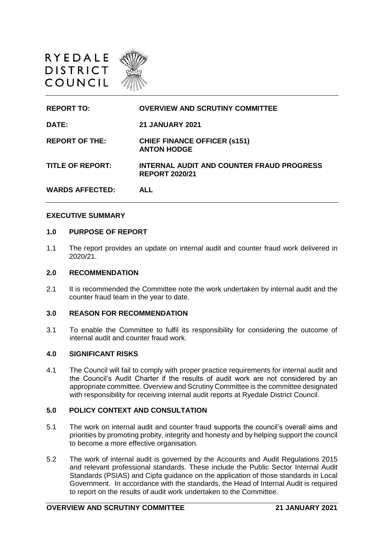

| <b>REPORT TO:</b>       | <b>OVERVIEW AND SCRUTINY COMMITTEE</b>                             |
|-------------------------|--------------------------------------------------------------------|
| DATE:                   | <b>21 JANUARY 2021</b>                                             |
| <b>REPORT OF THE:</b>   | <b>CHIEF FINANCE OFFICER (s151)</b><br><b>ANTON HODGE</b>          |
| <b>TITLE OF REPORT:</b> | INTERNAL AUDIT AND COUNTER FRAUD PROGRESS<br><b>REPORT 2020/21</b> |
| <b>WARDS AFFECTED:</b>  | AI I                                                               |

### **EXECUTIVE SUMMARY**

#### **1.0 PURPOSE OF REPORT**

1.1 The report provides an update on internal audit and counter fraud work delivered in 2020/21.

### **2.0 RECOMMENDATION**

2.1 It is recommended the Committee note the work undertaken by internal audit and the counter fraud team in the year to date.

### **3.0 REASON FOR RECOMMENDATION**

3.1 To enable the Committee to fulfil its responsibility for considering the outcome of internal audit and counter fraud work.

### **4.0 SIGNIFICANT RISKS**

4.1 The Council will fail to comply with proper practice requirements for internal audit and the Council's Audit Charter if the results of audit work are not considered by an appropriate committee. Overview and Scrutiny Committee is the committee designated with responsibility for receiving internal audit reports at Ryedale District Council.

## **5.0 POLICY CONTEXT AND CONSULTATION**

- 5.1 The work on internal audit and counter fraud supports the council's overall aims and priorities by promoting probity, integrity and honesty and by helping support the council to become a more effective organisation.
- 5.2 The work of internal audit is governed by the Accounts and Audit Regulations 2015 and relevant professional standards. These include the Public Sector Internal Audit Standards (PSIAS) and Cipfa guidance on the application of those standards in Local Government. In accordance with the standards, the Head of Internal Audit is required to report on the results of audit work undertaken to the Committee.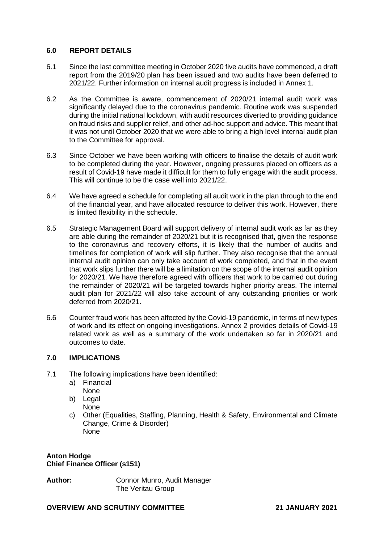## **6.0 REPORT DETAILS**

- 6.1 Since the last committee meeting in October 2020 five audits have commenced, a draft report from the 2019/20 plan has been issued and two audits have been deferred to 2021/22. Further information on internal audit progress is included in Annex 1.
- 6.2 As the Committee is aware, commencement of 2020/21 internal audit work was significantly delayed due to the coronavirus pandemic. Routine work was suspended during the initial national lockdown, with audit resources diverted to providing guidance on fraud risks and supplier relief, and other ad-hoc support and advice. This meant that it was not until October 2020 that we were able to bring a high level internal audit plan to the Committee for approval.
- 6.3 Since October we have been working with officers to finalise the details of audit work to be completed during the year. However, ongoing pressures placed on officers as a result of Covid-19 have made it difficult for them to fully engage with the audit process. This will continue to be the case well into 2021/22.
- 6.4 We have agreed a schedule for completing all audit work in the plan through to the end of the financial year, and have allocated resource to deliver this work. However, there is limited flexibility in the schedule.
- 6.5 Strategic Management Board will support delivery of internal audit work as far as they are able during the remainder of 2020/21 but it is recognised that, given the response to the coronavirus and recovery efforts, it is likely that the number of audits and timelines for completion of work will slip further. They also recognise that the annual internal audit opinion can only take account of work completed, and that in the event that work slips further there will be a limitation on the scope of the internal audit opinion for 2020/21. We have therefore agreed with officers that work to be carried out during the remainder of 2020/21 will be targeted towards higher priority areas. The internal audit plan for 2021/22 will also take account of any outstanding priorities or work deferred from 2020/21.
- 6.6 Counter fraud work has been affected by the Covid-19 pandemic, in terms of new types of work and its effect on ongoing investigations. Annex 2 provides details of Covid-19 related work as well as a summary of the work undertaken so far in 2020/21 and outcomes to date.

# **7.0 IMPLICATIONS**

- 7.1 The following implications have been identified:
	- a) Financial None
	- b) Legal None
	- c) Other (Equalities, Staffing, Planning, Health & Safety, Environmental and Climate Change, Crime & Disorder) None

**Anton Hodge Chief Finance Officer (s151)**

Author: Connor Munro, Audit Manager The Veritau Group